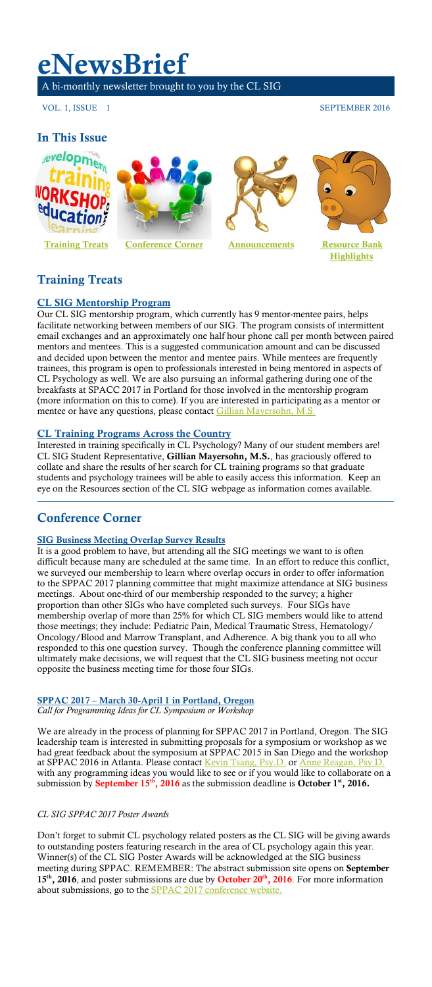# **eNewsBrief**

A bi-monthly newsletter brought to you by the CL SIG

VOL. 1, ISSUE 1 SEPTEMBER 2016

### **In This Issue**

<span id="page-0-0"></span>







**[Highlights](#page-1-0)**

# **Training Treats**

### **CL SIG Mentorship Program**

Our CL SIG mentorship program, which currently has 9 mentor-mentee pairs, helps facilitate networking between members of our SIG. The program consists of intermittent email exchanges and an approximately one half hour phone call per month between paired mentors and mentees. This is a suggested communication amount and can be discussed and decided upon between the mentor and mentee pairs. While mentees are frequently trainees, this program is open to professionals interested in being mentored in aspects of CL Psychology as well. We are also pursuing an informal gathering during one of the breakfasts at SPACC 2017 in Portland for those involved in the mentorship program (more information on this to come). If you are interested in participating as a mentor or mentee or have any questions, please contact [Gillian Mayersohn, M.S.](mailto:gsm219@gmail.com?subject=CL%20SIG%20Mentorship%20Program%20Inquiry)

### **CL Training Programs Across the Country**

Interested in training specifically in CL Psychology? Many of our student members are! CL SIG Student Representative, **Gillian Mayersohn, M.S.**, has graciously offered to collate and share the results of her search for CL training programs so that graduate students and psychology trainees will be able to easily access this information. Keep an eye on the Resources section of the CL SIG webpage as information comes available.

### **Conference Corner**

### **SIG Business Meeting Overlap Survey Results**

It is a good problem to have, but attending all the SIG meetings we want to is often difficult because many are scheduled at the same time. In an effort to reduce this conflict, we surveyed our membership to learn where overlap occurs in order to offer information to the SPPAC 2017 planning committee that might maximize attendance at SIG business meetings. About one-third of our membership responded to the survey; a higher proportion than other SIGs who have completed such surveys. Four SIGs have membership overlap of more than 25% for which CL SIG members would like to attend those meetings; they include: Pediatric Pain, Medical Traumatic Stress, Hematology/ Oncology/Blood and Marrow Transplant, and Adherence. A big thank you to all who responded to this one question survey. Though the conference planning committee will ultimately make decisions, we will request that the CL SIG business meeting not occur opposite the business meeting time for those four SIGs.

#### **SPPAC 2017 – March 30-April 1 in Portland, Oregon** *Call for Programming Ideas for CL Symposium or Workshop*

We are already in the process of planning for SPPAC 2017 in Portland, Oregon. The SIG leadership team is interested in submitting proposals for a symposium or workshop as we had great feedback about the symposium at SPPAC 2015 in San Diego and the workshop at SPPAC 2016 in Atlanta. Please contact [Kevin Tsang, Psy.D.](mailto:kevin.tsang@childrens.harvard.edu?subject=SPPAC%202017%20CL%20Symposium%20or%20Workshop%20Proposal) or [Anne Reagan, Psy.D.](mailto:reagana@upstate.edu?subject=SPPAC%202017%20CL%20Symposium%20or%20Workshop%20Proposal) with any programming ideas you would like to see or if you would like to collaborate on a submission by **September 15th, 2016** as the submission deadline is **October 1st, 2016.**

### *CL SIG SPPAC 2017 Poster Awards*

Don't forget to submit CL psychology related posters as the CL SIG will be giving awards to outstanding posters featuring research in the area of CL psychology again this year. Winner(s) of the CL SIG Poster Awards will be acknowledged at the SIG business meeting during SPPAC. REMEMBER: The abstract submission site opens on **September 15th, 2016**, and poster submissions are due by **October 20th, 2016**. For more information about submissions, go to the **SPPAC 2017** conference website.